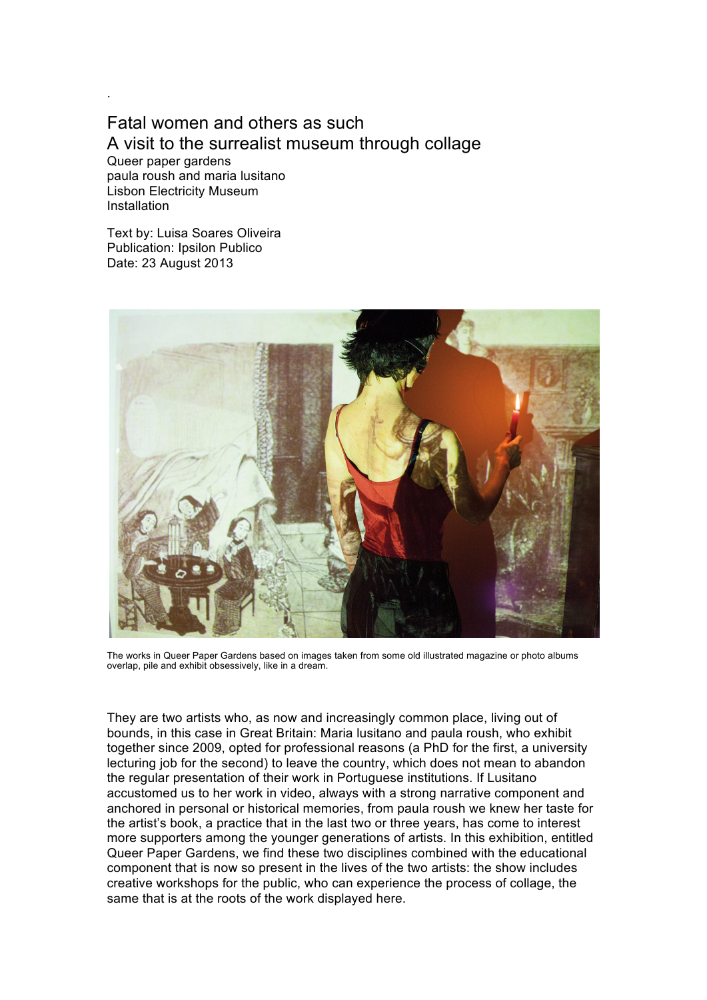## Fatal women and others as such A visit to the surrealist museum through collage Queer paper gardens

paula roush and maria lusitano Lisbon Electricity Museum Installation

.

Text by: Luisa Soares Oliveira Publication: Ipsilon Publico Date: 23 August 2013



The works in Queer Paper Gardens based on images taken from some old illustrated magazine or photo albums overlap, pile and exhibit obsessively, like in a dream.

They are two artists who, as now and increasingly common place, living out of bounds, in this case in Great Britain: Maria lusitano and paula roush, who exhibit together since 2009, opted for professional reasons (a PhD for the first, a university lecturing job for the second) to leave the country, which does not mean to abandon the regular presentation of their work in Portuguese institutions. If Lusitano accustomed us to her work in video, always with a strong narrative component and anchored in personal or historical memories, from paula roush we knew her taste for the artist's book, a practice that in the last two or three years, has come to interest more supporters among the younger generations of artists. In this exhibition, entitled Queer Paper Gardens, we find these two disciplines combined with the educational component that is now so present in the lives of the two artists: the show includes creative workshops for the public, who can experience the process of collage, the same that is at the roots of the work displayed here.